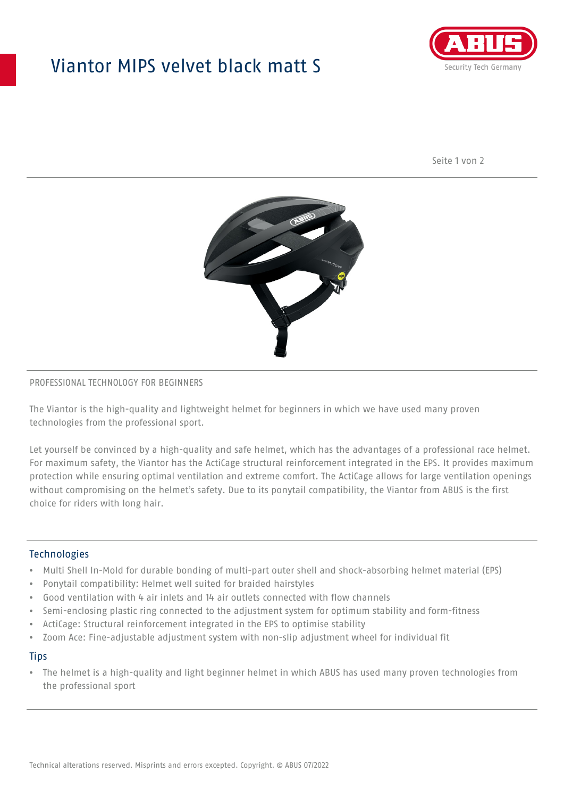## Viantor MIPS velvet black matt S



Seite 1 von 2



#### PROFESSIONAL TECHNOLOGY FOR BEGINNERS

The Viantor is the high-quality and lightweight helmet for beginners in which we have used many proven technologies from the professional sport.

Let yourself be convinced by a high-quality and safe helmet, which has the advantages of a professional race helmet. For maximum safety, the Viantor has the ActiCage structural reinforcement integrated in the EPS. It provides maximum protection while ensuring optimal ventilation and extreme comfort. The ActiCage allows for large ventilation openings without compromising on the helmet's safety. Due to its ponytail compatibility, the Viantor from ABUS is the first choice for riders with long hair.

#### **Technologies**

- Multi Shell In-Mold for durable bonding of multi-part outer shell and shock-absorbing helmet material (EPS)
- Ponytail compatibility: Helmet well suited for braided hairstyles
- Good ventilation with 4 air inlets and 14 air outlets connected with flow channels
- Semi-enclosing plastic ring connected to the adjustment system for optimum stability and form-fitness
- ActiCage: Structural reinforcement integrated in the EPS to optimise stability
- Zoom Ace: Fine-adjustable adjustment system with non-slip adjustment wheel for individual fit

#### **Tips**

• The helmet is a high-quality and light beginner helmet in which ABUS has used many proven technologies from the professional sport